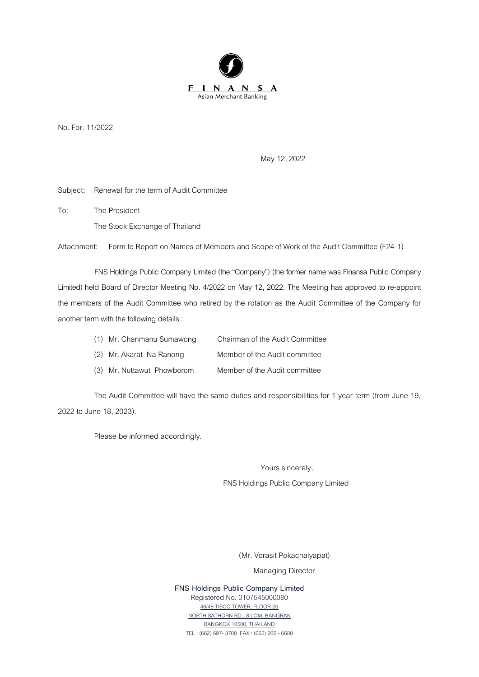

No. For.11/2022

May 12, 2022

Subject: Renewal for the term of Audit Committee

To: The President The Stock Exchange of Thailand

Attachment: Form to Report on Names of Members and Scope of Work of the Audit Committee (F24-1)

FNS Holdings Public Company Limited (the "Company") (the former name was Finansa Public Company Limited) held Board of Director Meeting No. 4/2022 on May 12, 2022. The Meeting has approved to re-appoint the members of the Audit Committee who retired by the rotation as the Audit Committee of the Company for another term with the following details :

| (1) Mr. Chanmanu Sumawong  | Chairman of the Audit Committee |
|----------------------------|---------------------------------|
| (2) Mr. Akarat Na Ranong   | Member of the Audit committee   |
| (3) Mr. Nuttawut Phowborom | Member of the Audit committee   |

The Audit Committee will have the same duties and responsibilities for 1 year term (from June 19, 2022to June 18, 2023).

Please be informed accordingly.

Yours sincerely,

FNS Holdings Public Company Limited

(Mr. Vorasit Pokachaiyapat)

Managing Director

**FNS Holdings Public Company Limited** Registered No. 0107545000080 48/48 TISCO TOWER, FLOOR 20 NORTH SATHORN RD., SILOM, BANGRAK BANGKOK 10500, THAILAND TEL : (662) 697-3700 FAX : (662) 266 - 6688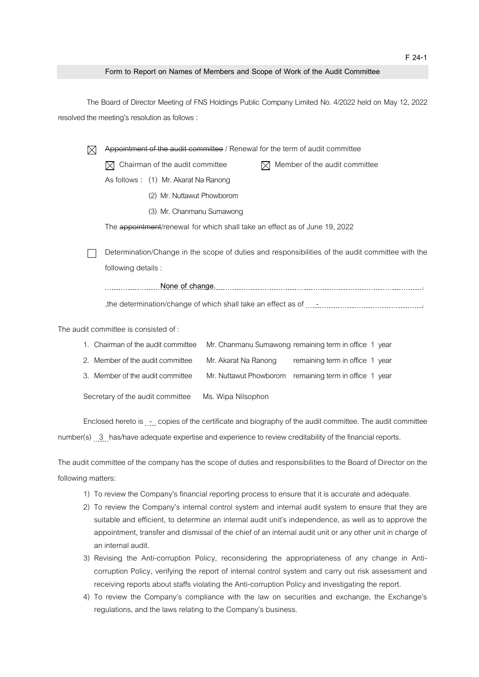## **Form to Report on Names of Members and Scope of Work of the Audit Committee**

The Board of Director Meeting of FNS Holdings Public Company Limited No. 4/2022 held on May 12, 2022 resolved the meeting's resolution as follows :

|                                      |                                                                                                  | Appointment of the audit committee / Renewal for the term of audit committee             |                                  |                      |                                      |                                 |  |  |
|--------------------------------------|--------------------------------------------------------------------------------------------------|------------------------------------------------------------------------------------------|----------------------------------|----------------------|--------------------------------------|---------------------------------|--|--|
|                                      |                                                                                                  | Chairman of the audit committee                                                          |                                  |                      | Member of the audit committee<br>IXI |                                 |  |  |
|                                      |                                                                                                  | As follows: (1) Mr. Akarat Na Ranong                                                     |                                  |                      |                                      |                                 |  |  |
|                                      |                                                                                                  |                                                                                          | (2) Mr. Nuttawut Phowborom       |                      |                                      |                                 |  |  |
|                                      |                                                                                                  | (3) Mr. Chanmanu Sumawong                                                                |                                  |                      |                                      |                                 |  |  |
|                                      |                                                                                                  | The <del>appointment</del> /renewal for which shall take an effect as of June 19, 2022   |                                  |                      |                                      |                                 |  |  |
|                                      | Determination/Change in the scope of duties and responsibilities of the audit committee with the |                                                                                          |                                  |                      |                                      |                                 |  |  |
|                                      |                                                                                                  | following details :                                                                      |                                  |                      |                                      |                                 |  |  |
| None of change.                      |                                                                                                  |                                                                                          |                                  |                      |                                      |                                 |  |  |
|                                      |                                                                                                  |                                                                                          |                                  |                      |                                      |                                 |  |  |
| The audit committee is consisted of: |                                                                                                  |                                                                                          |                                  |                      |                                      |                                 |  |  |
| 1.                                   |                                                                                                  | Chairman of the audit committee<br>Mr. Chanmanu Sumawong remaining term in office 1 year |                                  |                      |                                      |                                 |  |  |
|                                      |                                                                                                  |                                                                                          | 2. Member of the audit committee | Mr. Akarat Na Ranong |                                      | remaining term in office 1 year |  |  |

- 3. Member of the audit committee Mr. Nuttawut Phowborom remaining term in office 1 year
- Secretary of the audit committee Ms. Wipa Nilsophon

Enclosed hereto is  $\ldots$  copies of the certificate and biography of the audit committee. The audit committee number(s) 3 has/have adequate expertise and experience to review creditability of the financial reports.

The audit committee of the company has the scope of duties and responsibilities to the Board of Director on the following matters:

- 1) To review the Company's financial reporting process to ensure that it is accurate and adequate.
- 2) To review the Company's internal control system and internal audit system to ensure that they are suitable and efficient, to determine an internal audit unit's independence, as well as to approve the appointment, transfer and dismissal of the chief of an internal audit unit or any other unit in charge of an internal audit.
- 3) Revising the Anti-corruption Policy, reconsidering the appropriateness of any change in Anticorruption Policy, verifying the report of internal control system and carry out risk assessment and receiving reports about staffs violating the Anti-corruption Policy and investigating the report.
- 4) To review the Company's compliance with the law on securities and exchange, the Exchange's regulations, and the laws relating to the Company's business.